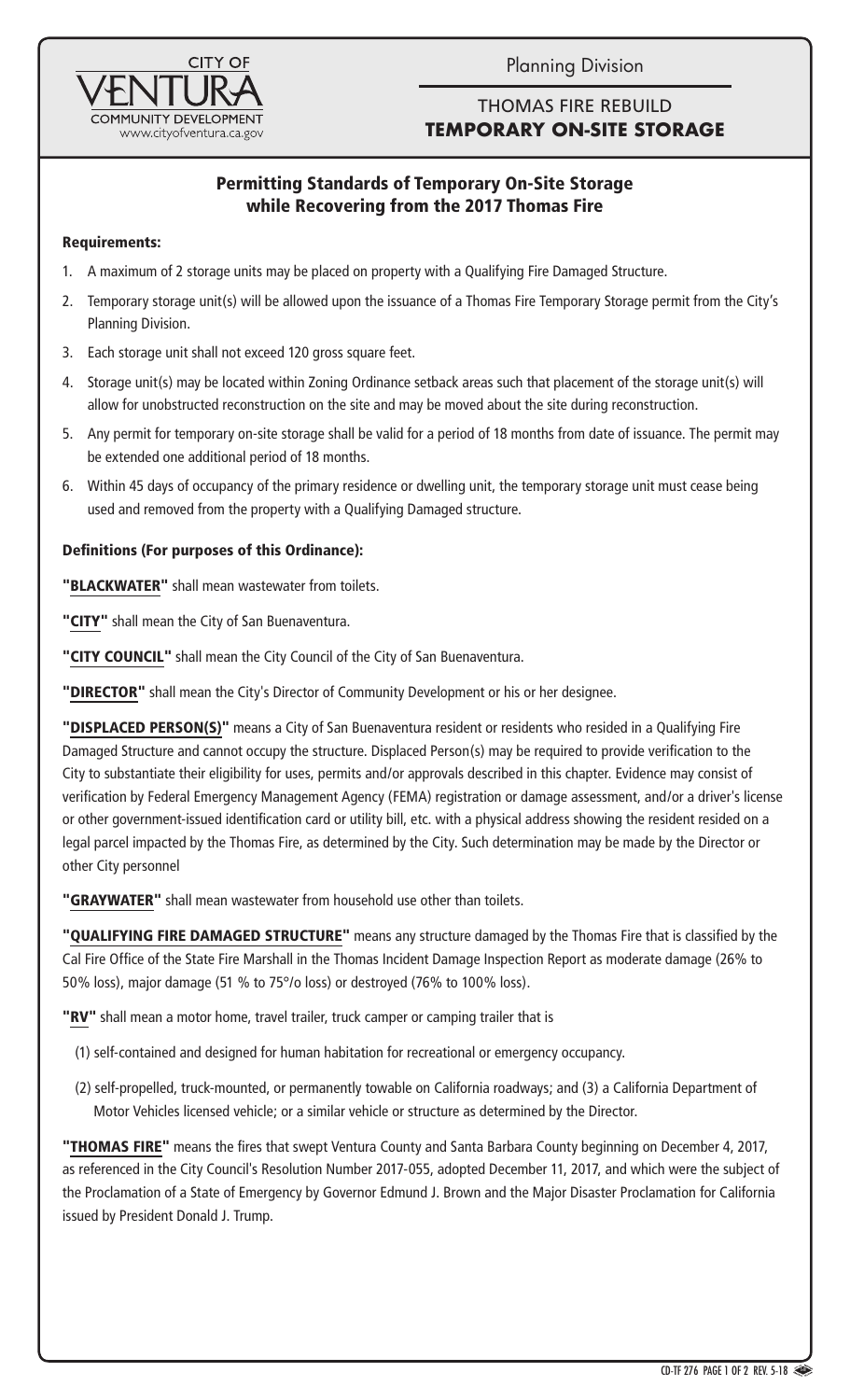Planning Division



# THOMAS FIRE REBUILD **TEMPORARY ON-SITE STORAGE**

# Permitting Standards of Temporary On-Site Storage while Recovering from the 2017 Thomas Fire

## Requirements:

- 1. A maximum of 2 storage units may be placed on property with a Qualifying Fire Damaged Structure.
- 2. Temporary storage unit(s) will be allowed upon the issuance of a Thomas Fire Temporary Storage permit from the City's Planning Division.
- 3. Each storage unit shall not exceed 120 gross square feet.
- 4. Storage unit(s) may be located within Zoning Ordinance setback areas such that placement of the storage unit(s) will allow for unobstructed reconstruction on the site and may be moved about the site during reconstruction.
- 5. Any permit for temporary on-site storage shall be valid for a period of 18 months from date of issuance. The permit may be extended one additional period of 18 months.
- 6. Within 45 days of occupancy of the primary residence or dwelling unit, the temporary storage unit must cease being used and removed from the property with a Qualifying Damaged structure.

### Definitions (For purposes of this Ordinance):

"BLACKWATER" shall mean wastewater from toilets.

"CITY" shall mean the City of San Buenaventura.

"CITY COUNCIL" shall mean the City Council of the City of San Buenaventura.

"DIRECTOR" shall mean the City's Director of Community Development or his or her designee.

"DISPLACED PERSON(S)" means a City of San Buenaventura resident or residents who resided in a Qualifying Fire Damaged Structure and cannot occupy the structure. Displaced Person(s) may be required to provide verification to the City to substantiate their eligibility for uses, permits and/or approvals described in this chapter. Evidence may consist of verification by Federal Emergency Management Agency (FEMA) registration or damage assessment, and/or a driver's license or other government-issued identification card or utility bill, etc. with a physical address showing the resident resided on a legal parcel impacted by the Thomas Fire, as determined by the City. Such determination may be made by the Director or other City personnel

"GRAYWATER" shall mean wastewater from household use other than toilets.

"QUALIFYING FIRE DAMAGED STRUCTURE" means any structure damaged by the Thomas Fire that is classified by the Cal Fire Office of the State Fire Marshall in the Thomas Incident Damage Inspection Report as moderate damage (26% to 50% loss), major damage (51 % to 75°/o loss) or destroyed (76% to 100% loss).

"RV" shall mean a motor home, travel trailer, truck camper or camping trailer that is

(1) self-contained and designed for human habitation for recreational or emergency occupancy.

(2) self-propelled, truck-mounted, or permanently towable on California roadways; and (3) a California Department of Motor Vehicles licensed vehicle; or a similar vehicle or structure as determined by the Director.

"THOMAS FIRE" means the fires that swept Ventura County and Santa Barbara County beginning on December 4, 2017, as referenced in the City Council's Resolution Number 2017-055, adopted December 11, 2017, and which were the subject of the Proclamation of a State of Emergency by Governor Edmund J. Brown and the Major Disaster Proclamation for California issued by President Donald J. Trump.